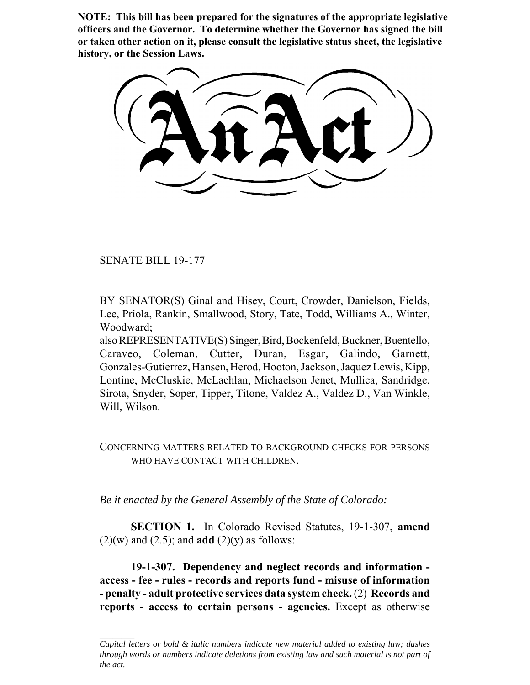**NOTE: This bill has been prepared for the signatures of the appropriate legislative officers and the Governor. To determine whether the Governor has signed the bill or taken other action on it, please consult the legislative status sheet, the legislative history, or the Session Laws.**

SENATE BILL 19-177

BY SENATOR(S) Ginal and Hisey, Court, Crowder, Danielson, Fields, Lee, Priola, Rankin, Smallwood, Story, Tate, Todd, Williams A., Winter, Woodward;

also REPRESENTATIVE(S) Singer, Bird, Bockenfeld, Buckner, Buentello, Caraveo, Coleman, Cutter, Duran, Esgar, Galindo, Garnett, Gonzales-Gutierrez, Hansen, Herod, Hooton, Jackson, Jaquez Lewis, Kipp, Lontine, McCluskie, McLachlan, Michaelson Jenet, Mullica, Sandridge, Sirota, Snyder, Soper, Tipper, Titone, Valdez A., Valdez D., Van Winkle, Will, Wilson.

CONCERNING MATTERS RELATED TO BACKGROUND CHECKS FOR PERSONS WHO HAVE CONTACT WITH CHILDREN.

*Be it enacted by the General Assembly of the State of Colorado:*

**SECTION 1.** In Colorado Revised Statutes, 19-1-307, **amend**  $(2)(w)$  and  $(2.5)$ ; and **add**  $(2)(y)$  as follows:

**19-1-307. Dependency and neglect records and information access - fee - rules - records and reports fund - misuse of information - penalty - adult protective services data system check.** (2) **Records and reports - access to certain persons - agencies.** Except as otherwise

*Capital letters or bold & italic numbers indicate new material added to existing law; dashes through words or numbers indicate deletions from existing law and such material is not part of the act.*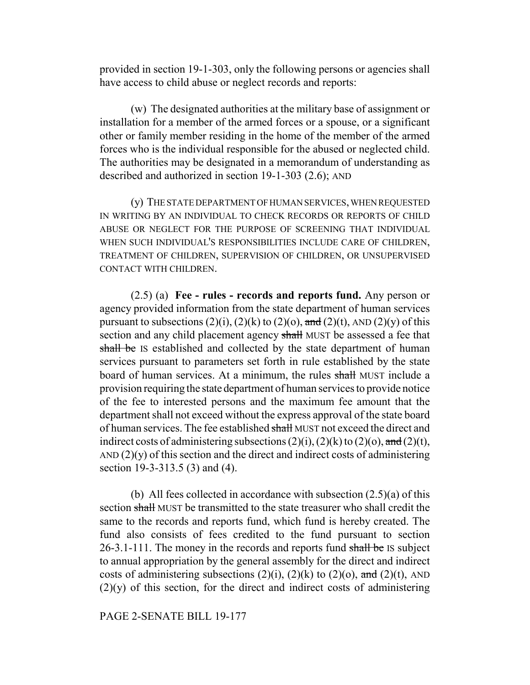provided in section 19-1-303, only the following persons or agencies shall have access to child abuse or neglect records and reports:

(w) The designated authorities at the military base of assignment or installation for a member of the armed forces or a spouse, or a significant other or family member residing in the home of the member of the armed forces who is the individual responsible for the abused or neglected child. The authorities may be designated in a memorandum of understanding as described and authorized in section 19-1-303 (2.6); AND

(y) THE STATE DEPARTMENT OF HUMAN SERVICES, WHEN REQUESTED IN WRITING BY AN INDIVIDUAL TO CHECK RECORDS OR REPORTS OF CHILD ABUSE OR NEGLECT FOR THE PURPOSE OF SCREENING THAT INDIVIDUAL WHEN SUCH INDIVIDUAL'S RESPONSIBILITIES INCLUDE CARE OF CHILDREN, TREATMENT OF CHILDREN, SUPERVISION OF CHILDREN, OR UNSUPERVISED CONTACT WITH CHILDREN.

(2.5) (a) **Fee - rules - records and reports fund.** Any person or agency provided information from the state department of human services pursuant to subsections  $(2)(i)$ ,  $(2)(k)$  to  $(2)(o)$ , and  $(2)(t)$ , AND  $(2)(y)$  of this section and any child placement agency shall MUST be assessed a fee that shall be IS established and collected by the state department of human services pursuant to parameters set forth in rule established by the state board of human services. At a minimum, the rules shall MUST include a provision requiring the state department of human services to provide notice of the fee to interested persons and the maximum fee amount that the department shall not exceed without the express approval of the state board of human services. The fee established shall MUST not exceed the direct and indirect costs of administering subsections  $(2)(i)$ ,  $(2)(k)$  to  $(2)(o)$ , and  $(2)(t)$ , AND  $(2)(y)$  of this section and the direct and indirect costs of administering section 19-3-313.5 (3) and (4).

(b) All fees collected in accordance with subsection  $(2.5)(a)$  of this section shall MUST be transmitted to the state treasurer who shall credit the same to the records and reports fund, which fund is hereby created. The fund also consists of fees credited to the fund pursuant to section 26-3.1-111. The money in the records and reports fund shall be IS subject to annual appropriation by the general assembly for the direct and indirect costs of administering subsections  $(2)(i)$ ,  $(2)(k)$  to  $(2)(o)$ , and  $(2)(t)$ , AND  $(2)(y)$  of this section, for the direct and indirect costs of administering

PAGE 2-SENATE BILL 19-177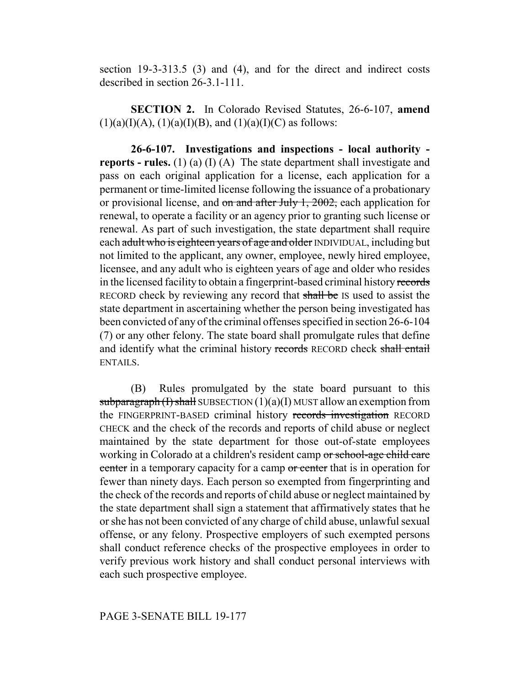section 19-3-313.5 (3) and (4), and for the direct and indirect costs described in section 26-3.1-111.

**SECTION 2.** In Colorado Revised Statutes, 26-6-107, **amend**  $(1)(a)(I)(A), (1)(a)(I)(B), and (1)(a)(I)(C)$  as follows:

**26-6-107. Investigations and inspections - local authority reports - rules.** (1) (a) (I) (A) The state department shall investigate and pass on each original application for a license, each application for a permanent or time-limited license following the issuance of a probationary or provisional license, and  $\sigma$  and after July 1, 2002, each application for renewal, to operate a facility or an agency prior to granting such license or renewal. As part of such investigation, the state department shall require each adult who is eighteen years of age and older INDIVIDUAL, including but not limited to the applicant, any owner, employee, newly hired employee, licensee, and any adult who is eighteen years of age and older who resides in the licensed facility to obtain a fingerprint-based criminal history records RECORD check by reviewing any record that shall be IS used to assist the state department in ascertaining whether the person being investigated has been convicted of any of the criminal offenses specified in section 26-6-104 (7) or any other felony. The state board shall promulgate rules that define and identify what the criminal history records RECORD check shall entail ENTAILS.

(B) Rules promulgated by the state board pursuant to this subparagraph  $(1)$  shall SUBSECTION  $(1)(a)(I)$  MUST allow an exemption from the FINGERPRINT-BASED criminal history records investigation RECORD CHECK and the check of the records and reports of child abuse or neglect maintained by the state department for those out-of-state employees working in Colorado at a children's resident camp or school-age child care center in a temporary capacity for a camp or center that is in operation for fewer than ninety days. Each person so exempted from fingerprinting and the check of the records and reports of child abuse or neglect maintained by the state department shall sign a statement that affirmatively states that he or she has not been convicted of any charge of child abuse, unlawful sexual offense, or any felony. Prospective employers of such exempted persons shall conduct reference checks of the prospective employees in order to verify previous work history and shall conduct personal interviews with each such prospective employee.

## PAGE 3-SENATE BILL 19-177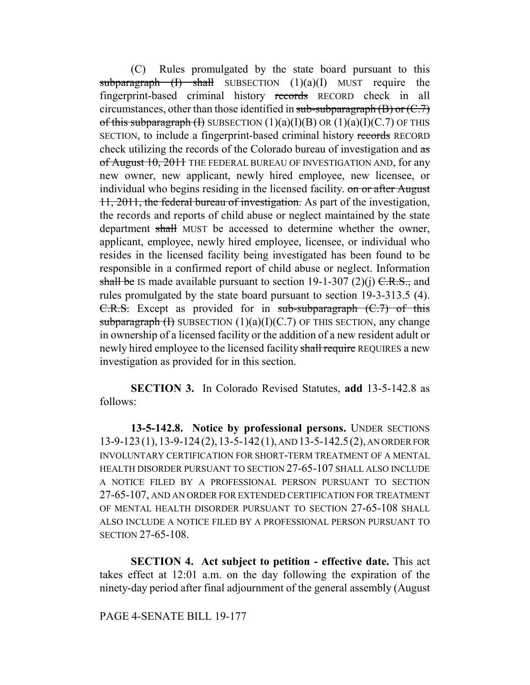(C) Rules promulgated by the state board pursuant to this subparagraph  $(I)$  shall SUBSECTION  $(1)(a)(I)$  MUST require the fingerprint-based criminal history records RECORD check in all circumstances, other than those identified in sub-subparagraph  $(B)$  or  $(C.7)$ of this subparagraph (I) SUBSECTION  $(1)(a)(I)(B)$  OR  $(1)(a)(I)(C.7)$  OF THIS SECTION, to include a fingerprint-based criminal history records RECORD check utilizing the records of the Colorado bureau of investigation and as of August 10, 2011 THE FEDERAL BUREAU OF INVESTIGATION AND, for any new owner, new applicant, newly hired employee, new licensee, or individual who begins residing in the licensed facility. on or after August 11, 2011, the federal bureau of investigation. As part of the investigation, the records and reports of child abuse or neglect maintained by the state department shall MUST be accessed to determine whether the owner, applicant, employee, newly hired employee, licensee, or individual who resides in the licensed facility being investigated has been found to be responsible in a confirmed report of child abuse or neglect. Information shall be IS made available pursuant to section 19-1-307 (2)(j)  $C.R.S.,$  and rules promulgated by the state board pursuant to section 19-3-313.5 (4). C.R.S. Except as provided for in sub-subparagraph (C.7) of this subparagraph  $(H)$  SUBSECTION  $(1)(a)(I)(C.7)$  OF THIS SECTION, any change in ownership of a licensed facility or the addition of a new resident adult or newly hired employee to the licensed facility shall require REQUIRES a new investigation as provided for in this section.

**SECTION 3.** In Colorado Revised Statutes, **add** 13-5-142.8 as follows:

**13-5-142.8. Notice by professional persons.** UNDER SECTIONS 13-9-123(1),13-9-124(2),13-5-142(1), AND 13-5-142.5(2), AN ORDER FOR INVOLUNTARY CERTIFICATION FOR SHORT-TERM TREATMENT OF A MENTAL HEALTH DISORDER PURSUANT TO SECTION 27-65-107 SHALL ALSO INCLUDE A NOTICE FILED BY A PROFESSIONAL PERSON PURSUANT TO SECTION 27-65-107, AND AN ORDER FOR EXTENDED CERTIFICATION FOR TREATMENT OF MENTAL HEALTH DISORDER PURSUANT TO SECTION 27-65-108 SHALL ALSO INCLUDE A NOTICE FILED BY A PROFESSIONAL PERSON PURSUANT TO SECTION 27-65-108.

**SECTION 4. Act subject to petition - effective date.** This act takes effect at 12:01 a.m. on the day following the expiration of the ninety-day period after final adjournment of the general assembly (August